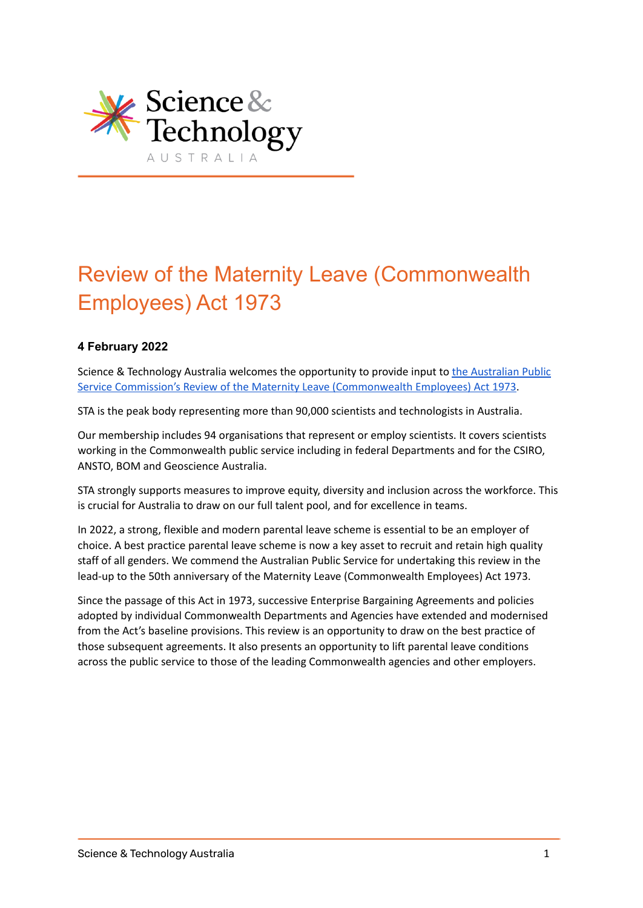

# Review of the Maternity Leave (Commonwealth Employees) Act 1973

### **4 February 2022**

Science & Technology Australia welcomes the opportunity to provide input to the [Australian](https://www.apsc.gov.au/initiatives-and-programs/workplace-relations/maternity-leave-act-review#submissions) Public Service Commission's Review of the Maternity Leave [\(Commonwealth](https://www.apsc.gov.au/initiatives-and-programs/workplace-relations/maternity-leave-act-review#submissions) Employees) Act 1973.

STA is the peak body representing more than 90,000 scientists and technologists in Australia.

Our membership includes 94 organisations that represent or employ scientists. It covers scientists working in the Commonwealth public service including in federal Departments and for the CSIRO, ANSTO, BOM and Geoscience Australia.

STA strongly supports measures to improve equity, diversity and inclusion across the workforce. This is crucial for Australia to draw on our full talent pool, and for excellence in teams.

In 2022, a strong, flexible and modern parental leave scheme is essential to be an employer of choice. A best practice parental leave scheme is now a key asset to recruit and retain high quality staff of all genders. We commend the Australian Public Service for undertaking this review in the lead-up to the 50th anniversary of the Maternity Leave (Commonwealth Employees) Act 1973.

Since the passage of this Act in 1973, successive Enterprise Bargaining Agreements and policies adopted by individual Commonwealth Departments and Agencies have extended and modernised from the Act's baseline provisions. This review is an opportunity to draw on the best practice of those subsequent agreements. It also presents an opportunity to lift parental leave conditions across the public service to those of the leading Commonwealth agencies and other employers.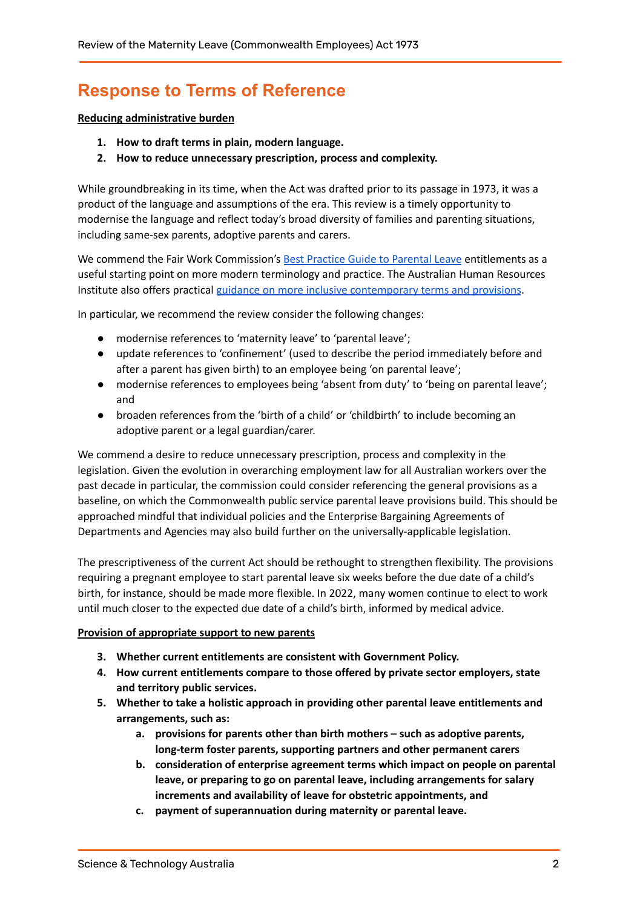## **Response to Terms of Reference**

#### **Reducing administrative burden**

- **1. How to draft terms in plain, modern language.**
- **2. How to reduce unnecessary prescription, process and complexity.**

While groundbreaking in its time, when the Act was drafted prior to its passage in 1973, it was a product of the language and assumptions of the era. This review is a timely opportunity to modernise the language and reflect today's broad diversity of families and parenting situations, including same-sex parents, adoptive parents and carers.

We commend the Fair Work Commission's Best Practice Guide to [Parental](https://www.fairwork.gov.au/tools-and-resources/best-practice-guides/parental-leave) Leave entitlements as a useful starting point on more modern terminology and practice. The Australian Human Resources Institute also offers practical guidance on more inclusive [contemporary](https://www.hrmonline.com.au/parental-leave/six-features-of-a-progressive-parental-leave-policy/) terms and provisions.

In particular, we recommend the review consider the following changes:

- modernise references to 'maternity leave' to 'parental leave';
- update references to 'confinement' (used to describe the period immediately before and after a parent has given birth) to an employee being 'on parental leave';
- modernise references to employees being 'absent from duty' to 'being on parental leave'; and
- broaden references from the 'birth of a child' or 'childbirth' to include becoming an adoptive parent or a legal guardian/carer.

We commend a desire to reduce unnecessary prescription, process and complexity in the legislation. Given the evolution in overarching employment law for all Australian workers over the past decade in particular, the commission could consider referencing the general provisions as a baseline, on which the Commonwealth public service parental leave provisions build. This should be approached mindful that individual policies and the Enterprise Bargaining Agreements of Departments and Agencies may also build further on the universally-applicable legislation.

The prescriptiveness of the current Act should be rethought to strengthen flexibility. The provisions requiring a pregnant employee to start parental leave six weeks before the due date of a child's birth, for instance, should be made more flexible. In 2022, many women continue to elect to work until much closer to the expected due date of a child's birth, informed by medical advice.

#### **Provision of appropriate support to new parents**

- **3. Whether current entitlements are consistent with Government Policy.**
- **4. How current entitlements compare to those offered by private sector employers, state and territory public services.**
- **5. Whether to take a holistic approach in providing other parental leave entitlements and arrangements, such as:**
	- **a. provisions for parents other than birth mothers – such as adoptive parents, long-term foster parents, supporting partners and other permanent carers**
	- **b. consideration of enterprise agreement terms which impact on people on parental leave, or preparing to go on parental leave, including arrangements for salary increments and availability of leave for obstetric appointments, and**
	- **c. payment of superannuation during maternity or parental leave.**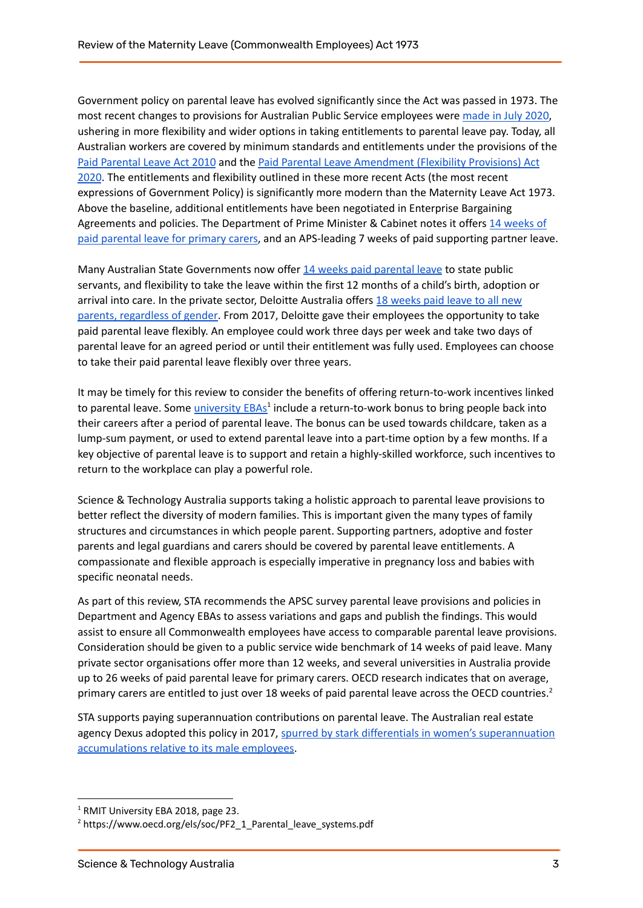Government policy on parental leave has evolved significantly since the Act was passed in 1973. The most recent changes to provisions for Australian Public Service employees were [made](https://www.apsc.gov.au/circulars-and-advices/circular-20208-changes-parental-leave-pay-improve-flexibility) in July 2020, ushering in more flexibility and wider options in taking entitlements to parental leave pay. Today, all Australian workers are covered by minimum standards and entitlements under the provisions of the Paid [Parental](https://www.legislation.gov.au/Details/C2010A00104) Leave Act 2010 and the Paid Parental Leave [Amendment](https://www.aph.gov.au/Parliamentary_Business/Bills_Legislation/bd/bd1920a/20bd095) (Flexibility Provisions) Act [2020](https://www.aph.gov.au/Parliamentary_Business/Bills_Legislation/bd/bd1920a/20bd095). The entitlements and flexibility outlined in these more recent Acts (the most recent expressions of Government Policy) is significantly more modern than the Maternity Leave Act 1973. Above the baseline, additional entitlements have been negotiated in Enterprise Bargaining Agreements and policies. The Department of Prime Minister & Cabinet notes it offers 14 [weeks](https://www.pmc.gov.au/pmc/careers/what-we-offer) of paid [parental](https://www.pmc.gov.au/pmc/careers/what-we-offer) leave for primary carers, and an APS-leading 7 weeks of paid supporting partner leave.

Many Australian State Governments now offer 14 weeks paid [parental](https://www.psc.nsw.gov.au/culture-and-inclusion/diversity-and-inclusion/gender-equity/paid-parental-leave) leave to state public servants, and flexibility to take the leave within the first 12 months of a child's birth, adoption or arrival into care. In the private sector, Deloitte Australia offers 18 [weeks](https://parentsandcarersatwork.com/wp-content/uploads/2019/08/Case-study_Deloitte_2019.pdf) paid leave to all new parents, [regardless](https://parentsandcarersatwork.com/wp-content/uploads/2019/08/Case-study_Deloitte_2019.pdf) of gender. From 2017, Deloitte gave their employees the opportunity to take paid parental leave flexibly. An employee could work three days per week and take two days of parental leave for an agreed period or until their entitlement was fully used. Employees can choose to take their paid parental leave flexibly over three years.

It may be timely for this review to consider the benefits of offering return-to-work incentives linked to parental leave. Some *[university](https://www.rmit.edu.au/content/dam/rmit/rmit-images/staff-site/my-employment/documents/enterprise-agreements/RMIT-University-Enterprise-Agreement-2018.pdf) EBAs<sup>1</sup>* include a return-to-work bonus to bring people back into their careers after a period of parental leave. The bonus can be used towards childcare, taken as a lump-sum payment, or used to extend parental leave into a part-time option by a few months. If a key objective of parental leave is to support and retain a highly-skilled workforce, such incentives to return to the workplace can play a powerful role.

Science & Technology Australia supports taking a holistic approach to parental leave provisions to better reflect the diversity of modern families. This is important given the many types of family structures and circumstances in which people parent. Supporting partners, adoptive and foster parents and legal guardians and carers should be covered by parental leave entitlements. A compassionate and flexible approach is especially imperative in pregnancy loss and babies with specific neonatal needs.

As part of this review, STA recommends the APSC survey parental leave provisions and policies in Department and Agency EBAs to assess variations and gaps and publish the findings. This would assist to ensure all Commonwealth employees have access to comparable parental leave provisions. Consideration should be given to a public service wide benchmark of 14 weeks of paid leave. Many private sector organisations offer more than 12 weeks, and several universities in Australia provide up to 26 weeks of paid parental leave for primary carers. OECD research indicates that on average, primary carers are entitled to just over 18 weeks of paid parental leave across the OECD countries.<sup>2</sup>

STA supports paying superannuation contributions on parental leave. The Australian real estate agency Dexus adopted this policy in 2017, spurred by stark differentials in women's [superannuation](https://parentsandcarersatwork.com/wp-content/uploads/2018/09/Parents-At-Work-Case-Study-Dexus-2018.pdf) [accumulations](https://parentsandcarersatwork.com/wp-content/uploads/2018/09/Parents-At-Work-Case-Study-Dexus-2018.pdf) relative to its male employees.

<sup>&</sup>lt;sup>1</sup> RMIT University EBA 2018, page 23.

<sup>2</sup> https://www.oecd.org/els/soc/PF2\_1\_Parental\_leave\_systems.pdf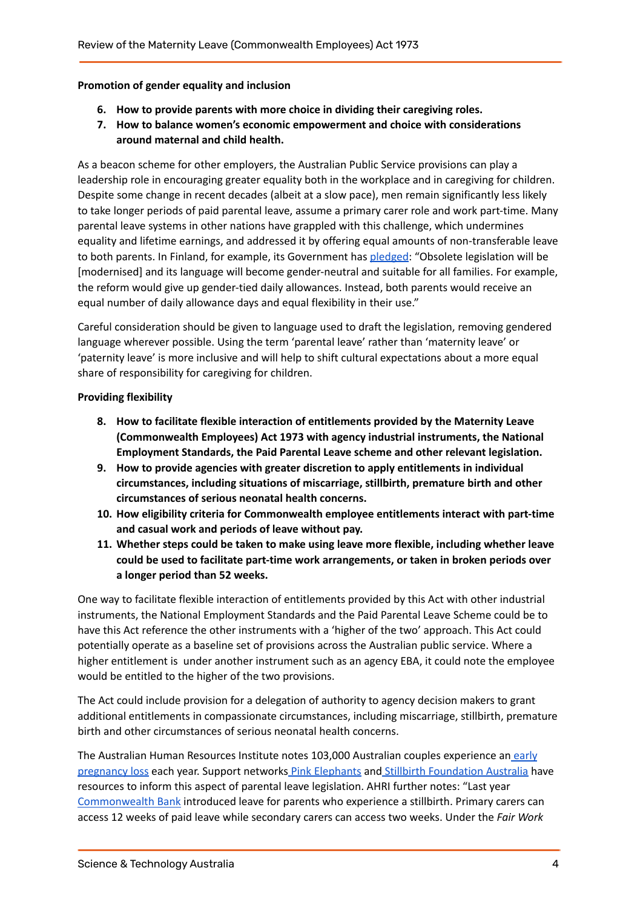#### **Promotion of gender equality and inclusion**

- **6. How to provide parents with more choice in dividing their caregiving roles.**
- **7. How to balance women's economic empowerment and choice with considerations around maternal and child health.**

As a beacon scheme for other employers, the Australian Public Service provisions can play a leadership role in encouraging greater equality both in the workplace and in caregiving for children. Despite some change in recent decades (albeit at a slow pace), men remain significantly less likely to take longer periods of paid parental leave, assume a primary carer role and work part-time. Many parental leave systems in other nations have grappled with this challenge, which undermines equality and lifetime earnings, and addressed it by offering equal amounts of non-transferable leave to both parents. In Finland, for example, its Government has [pledged:](https://valtioneuvosto.fi/en/-/1271139/perhevapaauudistus-tahtaa-perheiden-hyvinvointiin-ja-tasa-arvon-lisaamiseen) "Obsolete legislation will be [modernised] and its language will become gender-neutral and suitable for all families. For example, the reform would give up gender-tied daily allowances. Instead, both parents would receive an equal number of daily allowance days and equal flexibility in their use."

Careful consideration should be given to language used to draft the legislation, removing gendered language wherever possible. Using the term 'parental leave' rather than 'maternity leave' or 'paternity leave' is more inclusive and will help to shift cultural expectations about a more equal share of responsibility for caregiving for children.

#### **Providing flexibility**

- **8. How to facilitate flexible interaction of entitlements provided by the Maternity Leave (Commonwealth Employees) Act 1973 with agency industrial instruments, the National Employment Standards, the Paid Parental Leave scheme and other relevant legislation.**
- **9. How to provide agencies with greater discretion to apply entitlements in individual circumstances, including situations of miscarriage, stillbirth, premature birth and other circumstances of serious neonatal health concerns.**
- **10. How eligibility criteria for Commonwealth employee entitlements interact with part-time and casual work and periods of leave without pay.**
- **11. Whether steps could be taken to make using leave more flexible, including whether leave could be used to facilitate part-time work arrangements, or taken in broken periods over a longer period than 52 weeks.**

One way to facilitate flexible interaction of entitlements provided by this Act with other industrial instruments, the National Employment Standards and the Paid Parental Leave Scheme could be to have this Act reference the other instruments with a 'higher of the two' approach. This Act could potentially operate as a baseline set of provisions across the Australian public service. Where a higher entitlement is under another instrument such as an agency EBA, it could note the employee would be entitled to the higher of the two provisions.

The Act could include provision for a delegation of authority to agency decision makers to grant additional entitlements in compassionate circumstances, including miscarriage, stillbirth, premature birth and other circumstances of serious neonatal health concerns.

The Australian Human Resources Institute notes 103,000 Australian couples experience an [early](https://www.pinkelephants.org.au/page/118/fertility-in-the-workplace) [pregnancy](https://www.pinkelephants.org.au/page/118/fertility-in-the-workplace) loss each year. Support networks Pink [Elephants](https://www.pinkelephants.org.au/) and Stillbirth [Foundation](https://stillbirthfoundation.org.au/) Australia have resources to inform this aspect of parental leave legislation. AHRI further notes: "Last year [Commonwealth](https://www.commbank.com.au/articles/newsroom/2020/08/cba-increases-parental-leave-support.html#:~:text=CBA%20provides%20increased%20paid%20leave,experience%20stillbirth%20to%2012%20weeks.&text=Primary%20carers%20will%20have%20access,four%20weeks%20of%20paid%20leave.) Bank introduced leave for parents who experience a stillbirth. Primary carers can access 12 weeks of paid leave while secondary carers can access two weeks. Under the *Fair Work*